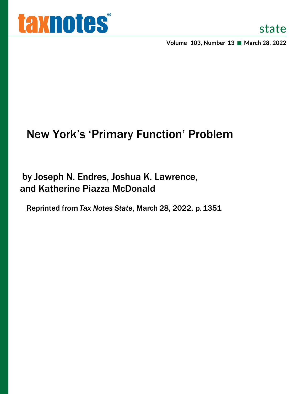

**Volume 103, Number 13 March 28, 2022**

# New York's 'Primary Function' Problem

by Joseph N. Endres, Joshua K. Lawrence, and Katherine Piazza McDonald

Reprinted from *Tax Notes State*, March 28, 2022, p.1351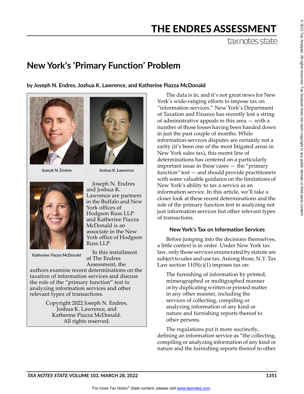# THE ENDRES ASSESSMENT

tax notes state

# **New York's 'Primary Function' Problem**

**by Joseph N. Endres, Joshua K. Lawrence, and Katherine Piazza McDonald**



Joseph N. Endres



Katherine Piazza McDonald



Joshua K. Lawrence

Joseph N. Endres and Joshua K. Lawrence are partners in the Buffalo and New York offices of Hodgson Russ LLP and Katherine Piazza McDonald is an associate in the New York office of Hodgson Russ LLP.

In this installment of The Endres Assessment, the

authors examine recent determinations on the taxation of information services and discuss the role of the "primary function" test in analyzing information services and other relevant types of transactions.

> Copyright 2022 Joseph N. Endres, Joshua K. Lawrence, and Katherine Piazza McDonald. All rights reserved.

The data is in, and it's not great news for New York's wide-ranging efforts to impose tax on "information services." New York's Department of Taxation and Finance has recently lost a string of administrative appeals in this area — with a number of those losses having been handed down in just the past couple of months. While information-services disputes are certainly not a rarity (it's been one of the most litigated areas in New York sales tax), this recent line of determinations has centered on a particularly important issue in these cases — the "primary function" test — and should provide practitioners with some valuable guidance on the limitations of New York's ability to tax a service as an information service. In this article, we'll take a closer look at these recent determinations and the role of the primary function test in analyzing not just information services but other relevant types of transactions.

## **New York's Tax on Information Services**

Before jumping into the decisions themselves, a little context is in order. Under New York tax law, only those services enumerated by statute are subject to sales and use tax. Among those, N.Y. Tax Law section  $1105(c)(1)$  imposes tax on:

The furnishing of information by printed, mimeographed or multigraphed manner or by duplicating written or printed matter in any other manner, including the services of collecting, compiling or analyzing information of any kind or nature and furnishing reports thereof to other persons.

The regulations put it more succinctly, defining an information service as "the collecting, compiling or analyzing information of any kind or nature and the furnishing reports thereof to other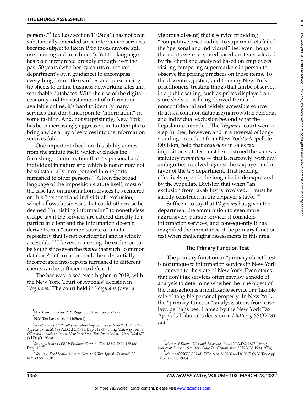persons."<sup>1</sup> Tax Law section 1105(c)(1) has not been substantially amended since information services became subject to tax in 1965 (does anyone still use mimeograph machines?). Yet the language has been interpreted broadly enough over the past 50 years (whether by courts or the tax department's own guidance) to encompass everything from title searches and horse-racing tip sheets to online business networking sites and searchable databases. With the rise of the digital economy and the vast amount of information available online, it's hard to identify many services that don't incorporate "information" in some fashion. And, not surprisingly, New York has been increasingly aggressive in its attempts to bring a wide array of services into the information services fold.

One important check on this ability comes from the statute itself, which excludes the furnishing of information that "is personal and individual in nature and which is not or may not be substantially incorporated into reports furnished to other persons."<sup>2</sup> Given the broad language of the imposition statute itself, most of the case law on information services has centered on this "personal and individual" exclusion, which allows businesses that could otherwise be deemed "furnishing information" to nonetheless escape tax if the services are catered directly to a particular client and the information doesn't derive from a "common source or a data repository that is not confidential and is widely accessible."<sup>3</sup> However, meeting the exclusion can be tough since even the *chance* that such "common database" information could be substantially incorporated into reports furnished to different clients can be sufficient to defeat it.<sup>4</sup>

The bar was raised even higher in 2019, with the New York Court of Appeals' decision in *Wegmans*. 5 The court held in *Wegmans* (over a

vigorous dissent) that a service providing "competitive price audits" to supermarkets failed the "personal and individual" test even though the audits were prepared based on items selected by the client and analyzed based on employees visiting competing supermarkets in person to observe the pricing practices on those items. To the dissenting justice, and to many New York practitioners, treating things that can be observed in a public setting, such as prices displayed on store shelves, as being derived from a nonconfidential and widely accessible source (that is, a common database) narrows the personal and individual exclusion beyond what the Legislature intended. The *Wegmans* court went a step further, however, and in a reversal of longstanding precedent from New York's Appellate Division, held that *exclusions* in sales tax imposition statutes must be construed the same as statutory *exemptions* — that is, narrowly, with any ambiguities resolved against the taxpayer and in favor of the tax department. That holding effectively upends the long-cited rule expressed by the Appellate Division that when "an exclusion from taxability is involved, it must be strictly construed in the taxpayer's favor."6

Suffice it to say that *Wegmans* has given the department the ammunition to even more aggressively pursue services it considers information services, and consequently it has magnified the importance of the primary function test when challenging assessments in this area.

#### **The Primary Function Test**

The primary function or "primary object" test is not unique to information services in New York — or even to the state of New York. Even states that don't tax services often employ a mode of analysis to determine whether the true object of the transaction is a nontaxable service or a taxable sale of tangible personal property. In New York, the "primary function" analysis stems from case law, perhaps best framed by the New York Tax Appeals Tribunal's decision in *Matter of SSOV '81*   $Ltd.$ <sup>7</sup>

 $^1$ N.Y. Comp. Codes R. & Regs. tit. 20, section 527.3(a).

 $N$ .Y. Tax Law section 1105(c)(1).

<sup>3</sup> *See Matter of ADP Collision Estimating Services v. New York State Tax Appeals Tribunal*, 188 A.D.2d 245 (3d Dep't 1993) (citing *Matter of Towne-Oller and Associates Inc. v. New York State Tax Commission*, 120 A.D.2d 873 (3d Dep't 1986)).

<sup>4</sup> *See, e.g.*, *Matter of Rich Products Corp. v. Chu*, 132 A.D.2d 175 (3d Dep't 1987).

<sup>5</sup> *Wegmans Food Markets Inc. v. New York Tax Appeals Tribunal*, 33 N.Y.3d 587 (2019).

<sup>6</sup> *Matter of Towne-Oller and Associates Inc.*, 120 A.D.2d 873 (citing *Matter of Grace v. New York State Tax Commission,* 37 N.Y.2d 193 (1975)).

<sup>&</sup>lt;sup>7</sup><br>Matter of SSOV '81 Ltd., DTA Nos. 810966 and 810967 (N.Y. Tax App. Trib. Jan. 19, 1995).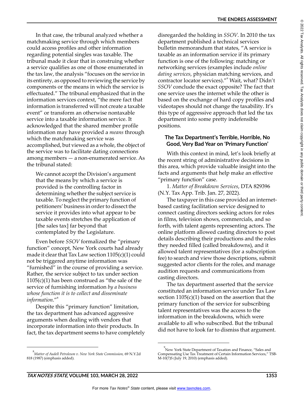In that case, the tribunal analyzed whether a matchmaking service through which members could access profiles and other information regarding potential singles was taxable. The tribunal made it clear that in construing whether a service qualifies as one of those enumerated in the tax law, the analysis "focuses on the service in its entirety, as opposed to reviewing the service by components or the means in which the service is effectuated." The tribunal emphasized that in the information services context, "the mere fact that information is transferred will not create a taxable event" or transform an otherwise nontaxable service into a taxable information service. It acknowledged that the shared member profile information may have provided a *means* through which the matchmaking service was accomplished, but viewed as a whole, the object of the service was to facilitate dating connections among members — a non-enumerated service. As the tribunal stated:

We cannot accept the Division's argument that the means by which a service is provided is the controlling factor in determining whether the subject service is taxable. To neglect the primary function of petitioners' business in order to dissect the service it provides into what appear to be taxable events stretches the application of [the sales tax] far beyond that contemplated by the Legislature.

Even before *SSOV* formalized the "primary function" concept, New York courts had already made it clear that Tax Law section 1105(c)(1) could not be triggered anytime information was "furnished" in the course of providing a service. Rather, the service subject to tax under section  $1105(c)(1)$  has been construed as "the sale of the service of furnishing information *by a business whose function it is to collect and disseminate information*."<sup>8</sup>

Despite this "primary function" limitation, the tax department has advanced aggressive arguments when dealing with vendors that incorporate information into their products. In fact, the tax department seems to have completely disregarded the holding in *SSOV*. In 2010 the tax department published a technical services bulletin memorandum that states, "A service is taxable as an information service if its primary function is one of the following: matching or networking services (examples include *online dating services*, physician matching services, and contractor locator services)."<sup>9</sup> Wait, what? Didn't *SSOV* conclude the exact opposite? The fact that one service uses the internet while the other is based on the exchange of hard copy profiles and videotapes should not change the taxability. It's this type of aggressive approach that led the tax department into some pretty indefensible positions.

### **The Tax Department's Terrible, Horrible, No Good, Very Bad Year on 'Primary Function'**

With this context in mind, let's look briefly at the recent string of administrative decisions in this area, which provide valuable insight into the facts and arguments that help make an effective "primary function" case.

1. *Matter of Breakdown Services*, DTA 829396 (N.Y. Tax App. Trib. Jan. 27, 2022).

The taxpayer in this case provided an internetbased casting facilitation service designed to connect casting directors seeking actors for roles in films, television shows, commercials, and so forth, with talent agents representing actors. The online platform allowed casting directors to post details describing their productions and the roles they needed filled (called breakdowns), and it allowed talent representatives (for a subscription fee) to search and view those descriptions, submit suggested actor clients for the roles, and manage audition requests and communications from casting directors.

The tax department asserted that the service constituted an information service under Tax Law section  $1105(c)(1)$  based on the assertion that the primary function of the service for subscribing talent representatives was the access to the information in the breakdowns, which were available to all who subscribed. But the tribunal did not have to look far to dismiss that argument.

<sup>8</sup> *Matter of Audell Petroleum v. New York State Commission,* 69 N.Y.2d 818 (1987) (emphasis added).

<sup>&</sup>lt;sup>9</sup><br>New York State Department of Taxation and Finance, "Sales and Compensating Use Tax Treatment of Certain Information Services," TSB- $M-10(7)S$  (July 19, 2010) (emphasis added).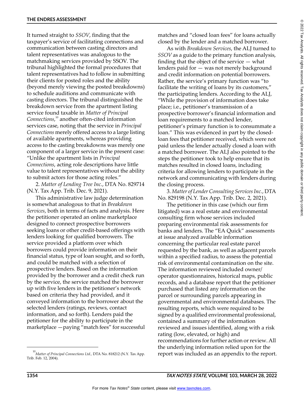It turned straight to *SSOV*, finding that the taxpayer's service of facilitating connections and communication between casting directors and talent representatives was analogous to the matchmaking services provided by SSOV. The tribunal highlighted the formal procedures that talent representatives had to follow in submitting their clients for posted roles and the ability (beyond merely viewing the posted breakdowns) to schedule auditions and communicate with casting directors. The tribunal distinguished the breakdown service from the apartment listing service found taxable in *Matter of Principal Connections*, 10 another often-cited information services case, noting that the service in *Principal Connections* merely offered access to a large listing of available apartments, whereas providing access to the casting breakdowns was merely one component of a larger service in the present case: "Unlike the apartment lists in *Principal Connections*, acting role descriptions have little value to talent representatives without the ability to submit actors for those acting roles."

2. *Matter of Lending Tree Inc.*, DTA No. 829714 (N.Y. Tax App. Trib. Dec. 9, 2021).

This administrative law judge determination is somewhat analogous to that in *Breakdown Services*, both in terms of facts and analysis. Here the petitioner operated an online marketplace designed to connect prospective borrowers seeking loans or other credit-based offerings with lenders looking for qualified borrowers. The service provided a platform over which borrowers could provide information on their financial status, type of loan sought, and so forth, and could be matched with a selection of prospective lenders. Based on the information provided by the borrower and a credit check run by the service, the service matched the borrower up with five lenders in the petitioner's network based on criteria they had provided, and it conveyed information to the borrower about the selected lenders (ratings, reviews, contact information, and so forth). Lenders paid the petitioner for the ability to participate in the marketplace —paying "match fees" for successful

matches and "closed loan fees" for loans actually closed by the lender and a matched borrower.

As with *Breakdown Services*, the ALJ turned to *SSOV* as a guide to the primary function analysis, finding that the object of the service — what lenders paid for — was not merely background and credit information on potential borrowers. Rather, the service's primary function was "to facilitate the writing of loans by its customers," the participating lenders. According to the ALJ, "While the provision of information does take place; i.e., petitioner's transmission of a prospective borrower's financial information and loan requirements to a matched lender, petitioner's primary function is to consummate a loan." This was evidenced in part by the closedloan fees that petitioner received, which were not paid unless the lender actually closed a loan with a matched borrower. The ALJ also pointed to the steps the petitioner took to help ensure that its matches resulted in closed loans, including criteria for allowing lenders to participate in the network and communicating with lenders during the closing process.

3. *Matter of Lender Consulting Services Inc.*, DTA No. 829198 (N.Y. Tax App. Trib. Dec. 2, 2021).

The petitioner in this case (which our firm litigated) was a real estate and environmental consulting firm whose services included preparing environmental risk assessments for banks and lenders. The "EA Quick" assessments at issue analyzed available information concerning the particular real estate parcel requested by the bank, as well as adjacent parcels within a specified radius, to assess the potential risk of environmental contamination on the site. The information reviewed included owner/ operator questionnaires, historical maps, public records, and a database report that the petitioner purchased that listed any information on the parcel or surrounding parcels appearing in governmental and environmental databases. The resulting reports, which were required to be signed by a qualified environmental professional, contained a summary of the information reviewed and issues identified, along with a risk rating (low, elevated, or high) and recommendations for further action or review. All the underlying information relied upon for the  $^{10}$ Matter of Principal Connections Ltd., DTA No. 818212 (N.Y. Tax App.  $\qquad$  report was included as an appendix to the report.

Trib. Feb. 12, 2004).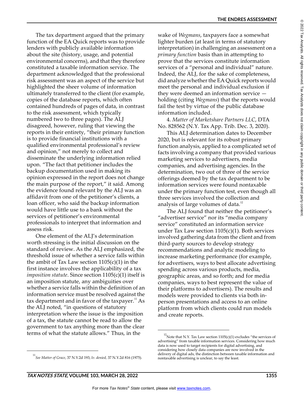The tax department argued that the primary function of the EA Quick reports was to provide lenders with publicly available information about the site (history, usage, and potential environmental concerns), and that they therefore constituted a taxable information service. The department acknowledged that the professional risk assessment was an aspect of the service but highlighted the sheer volume of information ultimately transferred to the client (for example, copies of the database reports, which often contained hundreds of pages of data, in contrast to the risk assessment, which typically numbered two to three pages). The ALJ disagreed, however, ruling that viewing the reports in their entirety, "their primary function is to provide financial institutions with a qualified environmental professional's review and opinion," not merely to collect and disseminate the underlying information relied upon. "The fact that petitioner includes the backup documentation used in making its opinion expressed in the report does not change the main purpose of the report," it said. Among the evidence found relevant by the ALJ was an affidavit from one of the petitioner's clients, a loan officer, who said the backup information would have little use to a bank without the services of petitioner's environmental professionals to interpret that information and assess risk.

One element of the ALJ's determination worth stressing is the initial discussion on the standard of review. As the ALJ emphasized, the threshold issue of whether a service falls within the ambit of Tax Law section  $1105(c)(1)$  in the first instance involves the applicability of a tax *imposition statute*. Since section 1105(c)(1) itself is an imposition statute, any ambiguities over whether a service falls within the definition of an information service must be resolved against the tax department and in favor of the taxpayer. $11$  As the ALJ noted, "in questions of statutory interpretation where the issue is the imposition of a tax, the statute cannot be read to allow the government to tax anything more than the clear terms of what the statute allows." Thus, in the

wake of *Wegmans*, taxpayers face a somewhat lighter burden (at least in terms of statutory interpretation) in challenging an assessment on a *primary function* basis than in attempting to prove that the services constitute information services of a "personal and individual" nature. Indeed, the ALJ, for the sake of completeness, did analyze whether the EA Quick reports would meet the personal and individual exclusion if they were deemed an information service holding (citing *Wegmans*) that the reports would fail the test by virtue of the public database information included.

4. *Matter of Marketshare Partners LLC*, DTA No. 828562 (N.Y. Tax App. Trib. Dec. 3, 2020).

This ALJ determination dates to December 2020, but is relevant for its robust primary function analysis, applied to a complicated set of facts involving a company that provided various marketing services to advertisers, media companies, and advertising agencies. In the determination, two out of three of the service offerings deemed by the tax department to be information services were found nontaxable under the primary function test, even though all three services involved the collection and analysis of large volumes of data. $^{12}$ 

The ALJ found that neither the petitioner's "advertiser service" nor its "media company service" constituted an information service under Tax Law section  $1105(c)(1)$ . Both services involved gathering data from the client and from third-party sources to develop strategy recommendations and analytic modeling to increase marketing performance (for example, for advertisers, ways to best allocate advertising spending across various products, media, geographic areas, and so forth; and for media companies, ways to best represent the value of their platforms to advertisers). The results and models were provided to clients via both inperson presentations and access to an online platform from which clients could run models and create reports.

<sup>11</sup> *See Matter of Grace*, 37 N.Y.2d 193, *lv. denied,* 37 N.Y.2d 816 (1975).

<sup>&</sup>lt;sup>12</sup> Note that N.Y. Tax Law section  $1105(c)(1)$  excludes "the services of advertising" from taxable information services. Considering how much data is now used to target recipients for digital advertising, and considering how closely data companies are now involved in the delivery of digital ads, the distinction between taxable information and nontaxable advertising is unclear, to say the least.